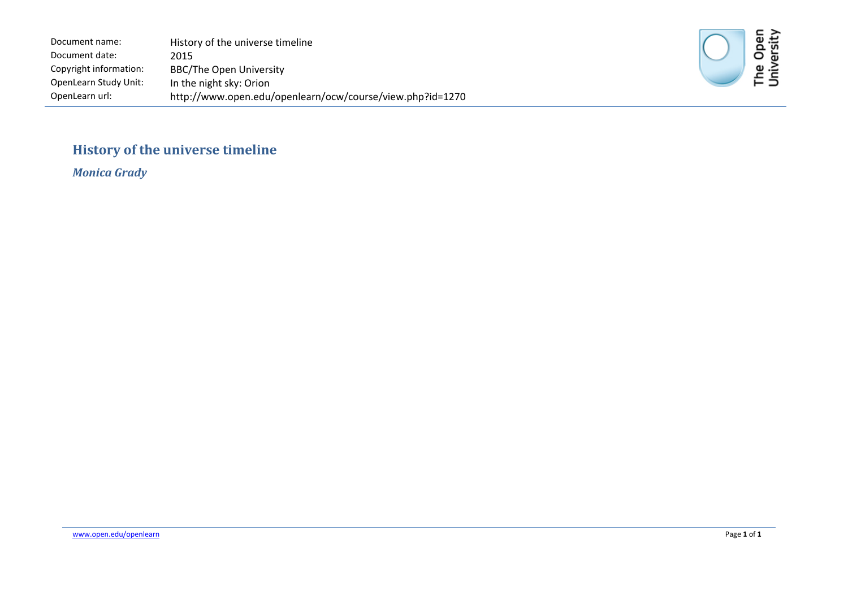Document name: Document date: Copyright information: OpenLearn Study Unit: OpenLearn url: History of the universe timeline 2015 BBC/The Open University In the night sky: Orion http://www.open.edu/openlearn/ocw/course/view.php?id=1270



#### **History of the universe timeline**

*Monica Grady*